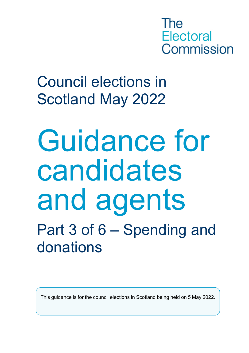The **Electoral** Commission

COUNCIL BI<br>Scotland M Council elections in Scotland May 2022

Guidance for candidates and agents Part 3 of 6 – Spending and donations

This guidance is for the council elections in Scotland being held on 5 May 2022.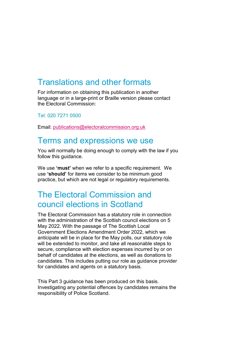### Translations and other formats

For information on obtaining this publication in another language or in a large-print or Braille version please contact the Electoral Commission:

Tel: 020 7271 0500

Email: [publications@electoralcommission.org.uk](mailto:publications@electoralcommission.org.uk)

### Terms and expressions we use

You will normally be doing enough to comply with the law if you follow this guidance.

We use **'must'** when we refer to a specific requirement. We use **'should'** for items we consider to be minimum good practice, but which are not legal or regulatory requirements.

### The Electoral Commission and council elections in Scotland

The Electoral Commission has a statutory role in connection with the administration of the Scottish council elections on 5 May 2022. With the passage of The Scottish Local Government Elections Amendment Order 2022, which we anticipate will be in place for the May polls, our statutory role will be extended to monitor, and take all reasonable steps to secure, compliance with election expenses incurred by or on behalf of candidates at the elections, as well as donations to candidates. This includes putting our role as guidance provider for candidates and agents on a statutory basis.

This Part 3 guidance has been produced on this basis. Investigating any potential offences by candidates remains the responsibility of Police Scotland.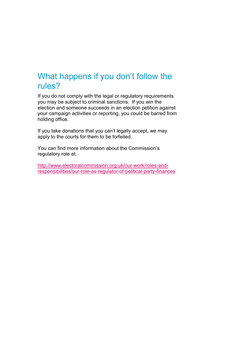### What happens if you don't follow the rules?

If you do not comply with the legal or regulatory requirements you may be subject to criminal sanctions. If you win the election and someone succeeds in an election petition against your campaign activities or reporting, you could be barred from holding office.

If you take donations that you can't legally accept, we may apply to the courts for them to be forfeited.

You can find more information about the Commission's regulatory role at:

[http://www.electoralcommission.org.uk/our-work/roles-and](http://www.electoralcommission.org.uk/our-work/roles-and-responsibilities/our-role-as-regulator-of-political-party-finances)[responsibilities/our-role-as-regulator-of-political-party-finances](http://www.electoralcommission.org.uk/our-work/roles-and-responsibilities/our-role-as-regulator-of-political-party-finances)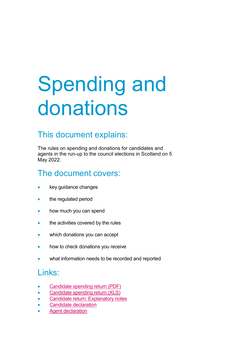# Spending and donations

### This document explains:

The rules on spending and donations for candidates and agents in the run-up to the council elections in Scotland on 5 May 2022.

### The document covers:

- key guidance changes
- the regulated period
- how much you can spend
- the activities covered by the rules
- which donations you can accept
- how to check donations you receive
- what information needs to be recorded and reported

### Links:

- Candidate [spending return \(PDF\)](https://www.electoralcommission.org.uk/media/8811)
- [Candidate spending return \(XLS\)](https://www.electoralcommission.org.uk/media/8814)
- [Candidate return: Explanatory notes](https://www.electoralcommission.org.uk/media/8813)
- [Candidate declaration](https://www.electoralcommission.org.uk/media/829)
- Agent [declaration](https://www.electoralcommission.org.uk/media/3403)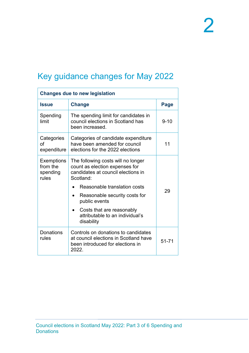## Key guidance changes for May 2022

| <b>Changes due to new legislation</b>              |                                                                                                                           |             |  |
|----------------------------------------------------|---------------------------------------------------------------------------------------------------------------------------|-------------|--|
| <b>Issue</b>                                       | <b>Change</b>                                                                                                             | <b>Page</b> |  |
| Spending<br>limit                                  | The spending limit for candidates in<br>council elections in Scotland has<br>been increased.                              | $9 - 10$    |  |
| Categories<br>of<br>expenditure                    | Categories of candidate expenditure<br>have been amended for council<br>11<br>elections for the 2022 elections            |             |  |
| <b>Exemptions</b><br>from the<br>spending<br>rules | The following costs will no longer<br>count as election expenses for<br>candidates at council elections in<br>Scotland:   |             |  |
|                                                    | Reasonable translation costs                                                                                              | 29          |  |
|                                                    | Reasonable security costs for<br>public events                                                                            |             |  |
|                                                    | Costs that are reasonably<br>attributable to an individual's<br>disability                                                |             |  |
| Donations<br>rules                                 | Controls on donations to candidates<br>at council elections in Scotland have<br>been introduced for elections in<br>2022. | 51-71       |  |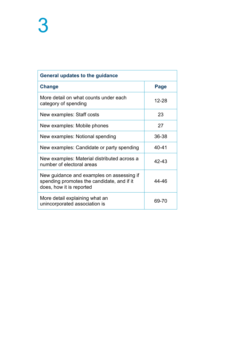| General updates to the guidance                                                                                     |       |  |
|---------------------------------------------------------------------------------------------------------------------|-------|--|
| Change                                                                                                              | Page  |  |
| More detail on what counts under each<br>category of spending                                                       | 12-28 |  |
| New examples: Staff costs                                                                                           | 23    |  |
| New examples: Mobile phones                                                                                         | 27    |  |
| New examples: Notional spending                                                                                     | 36-38 |  |
| New examples: Candidate or party spending                                                                           | 40-41 |  |
| New examples: Material distributed across a<br>number of electoral areas                                            | 42-43 |  |
| New guidance and examples on assessing if<br>spending promotes the candidate, and if it<br>does, how it is reported | 44-46 |  |
| More detail explaining what an<br>unincorporated association is                                                     | 69-70 |  |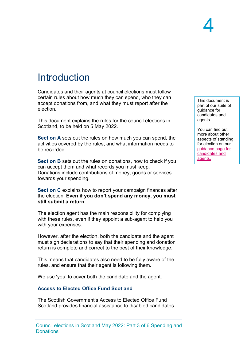## **Introduction**

Candidates and their agents at council elections must follow certain rules about how much they can spend, who they can accept donations from, and what they must report after the election.

This document explains the rules for the council elections in Scotland, to be held on 5 May 2022.

**Section A** sets out the rules on how much you can spend, the activities covered by the rules, and what information needs to be recorded.

**Section B** sets out the rules on donations, how to check if you can accept them and what records you must keep. Donations include contributions of money, goods or services towards your spending.

**Section C** explains how to report your campaign finances after the election. **Even if you don't spend any money, you must still submit a return.** 

The election agent has the main responsibility for complying with these rules, even if they appoint a sub-agent to help you with your expenses.

However, after the election, both the candidate and the agent must sign declarations to say that their spending and donation return is complete and correct to the best of their knowledge.

This means that candidates also need to be fully aware of the rules, and ensure that their agent is following them.

We use 'you' to cover both the candidate and the agent.

#### **Access to Elected Office Fund Scotland**

The Scottish Government's Access to Elected Office Fund Scotland provides financial assistance to disabled candidates

This document is part of our suite of guidance for candidates and agents.

You can find out more about other aspects of standing for election on our [guidance page for](https://www.electoralcommission.org.uk/i-am-a/candidate-or-agent/council-elections-scotland)  [candidates and](https://www.electoralcommission.org.uk/i-am-a/candidate-or-agent/council-elections-scotland)  [agents.](https://www.electoralcommission.org.uk/i-am-a/candidate-or-agent/council-elections-scotland)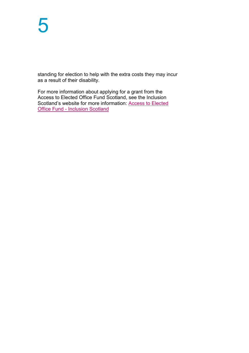standing for election to help with the extra costs they may incur as a result of their disability.

For more information about applying for a grant from the Access to Elected Office Fund Scotland, see the Inclusion Scotland's website for more information: [Access to Elected](https://inclusionscotland.org/disabled-people-become-a-leader/civic-participation/aeo-fund)  Office Fund - [Inclusion Scotland](https://inclusionscotland.org/disabled-people-become-a-leader/civic-participation/aeo-fund)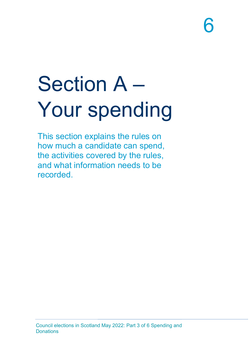# Section A – Your spending

This section explains the rules on how much a candidate can spend, the activities covered by the rules, and what information needs to be recorded.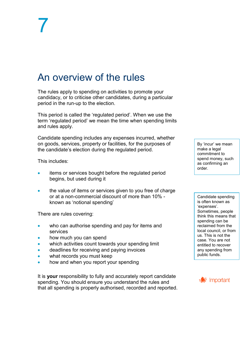## An overview of the rules

The rules apply to spending on activities to promote your candidacy, or to criticise other candidates, during a particular period in the run-up to the election.

This period is called the 'regulated period'. When we use the term 'regulated period' we mean the time when spending limits and rules apply.

Candidate spending includes any expenses incurred, whether on goods, services, property or facilities, for the purposes of the candidate's election during the regulated period.

This includes:

- items or services bought before the regulated period begins, but used during it
- the value of items or services given to you free of charge or at a non-commercial discount of more than 10% known as 'notional spending'

There are rules covering:

- who can authorise spending and pay for items and services
- how much you can spend
- which activities count towards your spending limit
- deadlines for receiving and paying invoices
- what records you must keep
- how and when you report your spending

It is **your** responsibility to fully and accurately report candidate spending. You should ensure you understand the rules and that all spending is properly authorised, recorded and reported.

By 'incur' we mean make a legal commitment to spend money, such as confirming an order.

Candidate spending is often known as 'expenses'. Sometimes, people think this means that spending can be reclaimed from the local council, or from us. This is not the case. You are not entitled to recover any spending from public funds.

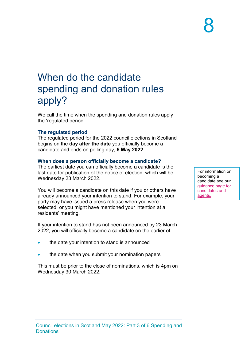## When do the candidate spending and donation rules apply?

We call the time when the spending and donation rules apply the 'regulated period'.

### **The regulated period**

The regulated period for the 2022 council elections in Scotland begins on the **day after the date** you officially become a candidate and ends on polling day, **5 May 2022**.

### **When does a person officially become a candidate?**

The earliest date you can officially become a candidate is the last date for publication of the notice of election, which will be Wednesday 23 March 2022.

You will become a candidate on this date if you or others have already announced your intention to stand. For example, your party may have issued a press release when you were selected, or you might have mentioned your intention at a residents' meeting.

If your intention to stand has not been announced by 23 March 2022, you will officially become a candidate on the earlier of:

- the date your intention to stand is announced
- the date when you submit your nomination papers

This must be prior to the close of nominations, which is 4pm on Wednesday 30 March 2022.

For information on becoming a candidate see our [guidance page for](https://www.electoralcommission.org.uk/i-am-a/candidate-or-agent/council-elections-scotland)  [candidates and](https://www.electoralcommission.org.uk/i-am-a/candidate-or-agent/council-elections-scotland)  [agents.](https://www.electoralcommission.org.uk/i-am-a/candidate-or-agent/council-elections-scotland)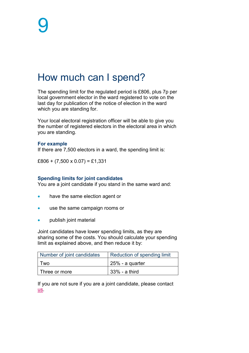## How much can I spend?

The spending limit for the regulated period is £806, plus 7p per local government elector in the ward registered to vote on the last day for publication of the notice of election in the ward which you are standing for.

Your local electoral registration officer will be able to give you the number of registered electors in the electoral area in which you are standing.

#### **For example**

If there are 7,500 electors in a ward, the spending limit is:

 $£806 + (7,500 \times 0.07) = £1,331$ 

#### **Spending limits for joint candidates**

You are a joint candidate if you stand in the same ward and:

- have the same election agent or
- use the same campaign rooms or
- publish joint material

Joint candidates have lower spending limits, as they are sharing some of the costs. You should calculate your spending limit as explained above, and then reduce it by:

| Number of joint candidates | Reduction of spending limit |
|----------------------------|-----------------------------|
| l wo                       | 125% - a quarter            |
| Three or more              | 33% - a third               |

If you are not sure if you are a joint candidate, please contact [us.](mailto:infoscotland@electoralcommission.org.uk)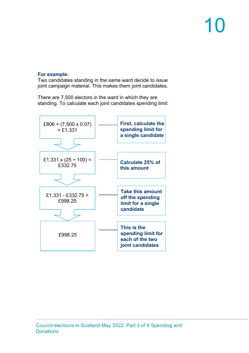### **For example:**

Two candidates standing in the same ward decide to issue joint campaign material. This makes them joint candidates.

There are 7,500 electors in the ward in which they are standing. To calculate each joint candidates spending limit:

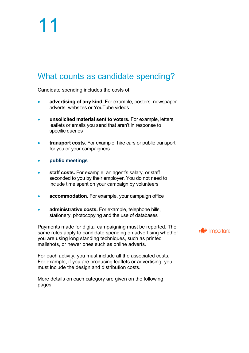### What counts as candidate spending?

Candidate spending includes the costs of:

- **advertising of any kind.** For example, posters, newspaper adverts, websites or YouTube videos
- **unsolicited material sent to voters.** For example, letters, leaflets or emails you send that aren't in response to specific queries
- **transport costs**. For example, hire cars or public transport for you or your campaigners
- **public meetings**
- **staff costs.** For example, an agent's salary, or staff seconded to you by their employer. You do not need to include time spent on your campaign by volunteers
- **accommodation.** For example, your campaign office
- **administrative costs.** For example, telephone bills, stationery, photocopying and the use of databases

Payments made for digital campaigning must be reported. The same rules apply to candidate spending on advertising whether you are using long standing techniques, such as printed mailshots, or newer ones such as online adverts.

For each activity, you must include all the associated costs. For example, if you are producing leaflets or advertising, you must include the design and distribution costs.

More details on each category are given on the following pages.

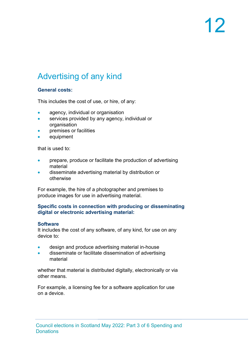### Advertising of any kind

### **General costs:**

This includes the cost of use, or hire, of any:

- agency, individual or organisation
- services provided by any agency, individual or organisation
- premises or facilities
- equipment

that is used to:

- prepare, produce or facilitate the production of advertising material
- disseminate advertising material by distribution or otherwise

For example, the hire of a photographer and premises to produce images for use in advertising material.

### **Specific costs in connection with producing or disseminating digital or electronic advertising material:**

#### **Software**

It includes the cost of any software, of any kind, for use on any device to:

- design and produce advertising material in-house
- disseminate or facilitate dissemination of advertising material

whether that material is distributed digitally, electronically or via other means.

For example, a licensing fee for a software application for use on a device.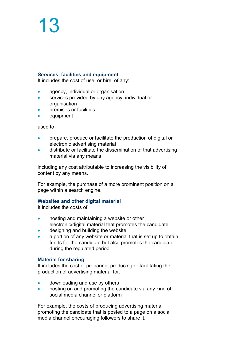#### **Services, facilities and equipment**

It includes the cost of use, or hire, of any:

- agency, individual or organisation
- services provided by any agency, individual or organisation
- premises or facilities
- equipment

used to

- prepare, produce or facilitate the production of digital or electronic advertising material
- distribute or facilitate the dissemination of that advertising material via any means

including any cost attributable to increasing the visibility of content by any means.

For example, the purchase of a more prominent position on a page within a search engine.

#### **Websites and other digital material**

It includes the costs of:

- hosting and maintaining a website or other electronic/digital material that promotes the candidate
- designing and building the website
- a portion of any website or material that is set up to obtain funds for the candidate but also promotes the candidate during the regulated period

#### **Material for sharing**

It includes the cost of preparing, producing or facilitating the production of advertising material for:

- downloading and use by others
- posting on and promoting the candidate via any kind of social media channel or platform

For example, the costs of producing advertising material promoting the candidate that is posted to a page on a social media channel encouraging followers to share it.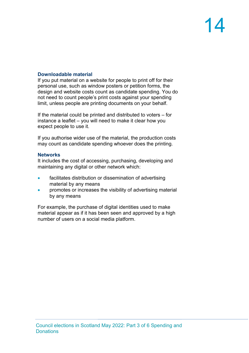### **Downloadable material**

If you put material on a website for people to print off for their personal use, such as window posters or petition forms, the design and website costs count as candidate spending. You do not need to count people's print costs against your spending limit, unless people are printing documents on your behalf.

If the material could be printed and distributed to voters – for instance a leaflet – you will need to make it clear how you expect people to use it.

If you authorise wider use of the material, the production costs may count as candidate spending whoever does the printing.

### **Networks**

It includes the cost of accessing, purchasing, developing and maintaining any digital or other network which:

- facilitates distribution or dissemination of advertising material by any means
- promotes or increases the visibility of advertising material by any means

For example, the purchase of digital identities used to make material appear as if it has been seen and approved by a high number of users on a social media platform.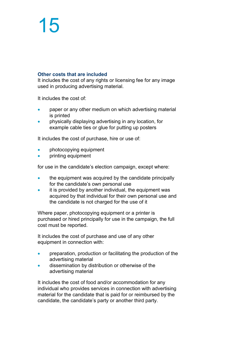### **Other costs that are included**

It includes the cost of any rights or licensing fee for any image used in producing advertising material.

It includes the cost of:

- paper or any other medium on which advertising material is printed
- physically displaying advertising in any location, for example cable ties or glue for putting up posters

It includes the cost of purchase, hire or use of:

- photocopying equipment
- **printing equipment**

for use in the candidate's election campaign, except where:

- the equipment was acquired by the candidate principally for the candidate's own personal use
- it is provided by another individual, the equipment was acquired by that individual for their own personal use and the candidate is not charged for the use of it

Where paper, photocopying equipment or a printer is purchased or hired principally for use in the campaign, the full cost must be reported.

It includes the cost of purchase and use of any other equipment in connection with:

- preparation, production or facilitating the production of the advertising material
- dissemination by distribution or otherwise of the advertising material

It includes the cost of food and/or accommodation for any individual who provides services in connection with advertising material for the candidate that is paid for or reimbursed by the candidate, the candidate's party or another third party.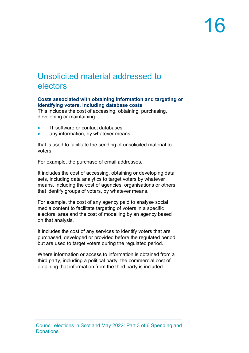### Unsolicited material addressed to electors

### **Costs associated with obtaining information and targeting or identifying voters, including database costs**

This includes the cost of accessing, obtaining, purchasing, developing or maintaining:

- IT software or contact databases
- any information, by whatever means

that is used to facilitate the sending of unsolicited material to voters.

For example, the purchase of email addresses.

It includes the cost of accessing, obtaining or developing data sets, including data analytics to target voters by whatever means, including the cost of agencies, organisations or others that identify groups of voters, by whatever means.

For example, the cost of any agency paid to analyse social media content to facilitate targeting of voters in a specific electoral area and the cost of modelling by an agency based on that analysis.

It includes the cost of any services to identify voters that are purchased, developed or provided before the regulated period, but are used to target voters during the regulated period.

Where information or access to information is obtained from a third party, including a political party, the commercial cost of obtaining that information from the third party is included.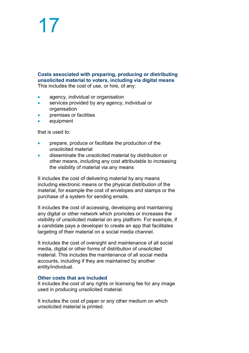**Costs associated with preparing, producing or distributing unsolicited material to voters, including via digital means** This includes the cost of use, or hire, of any:

- agency, individual or organisation
- services provided by any agency, individual or organisation
- premises or facilities
- equipment

that is used to:

- prepare, produce or facilitate the production of the unsolicited material
- disseminate the unsolicited material by distribution or other means, including any cost attributable to increasing the visibility of material via any means

It includes the cost of delivering material by any means including electronic means or the physical distribution of the material, for example the cost of envelopes and stamps or the purchase of a system for sending emails.

It includes the cost of accessing, developing and maintaining any digital or other network which promotes or increases the visibility of unsolicited material on any platform. For example, if a candidate pays a developer to create an app that facilitates targeting of their material on a social media channel.

It includes the cost of oversight and maintenance of all social media, digital or other forms of distribution of unsolicited material. This includes the maintenance of all social media accounts, including if they are maintained by another entity/individual.

#### **Other costs that are included**

It includes the cost of any rights or licensing fee for any image used in producing unsolicited material.

It includes the cost of paper or any other medium on which unsolicited material is printed.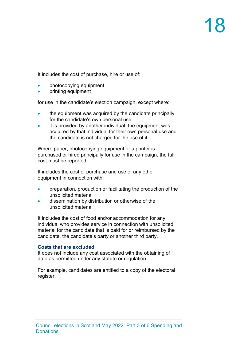It includes the cost of purchase, hire or use of:

- photocopying equipment
- **printing equipment**

for use in the candidate's election campaign, except where:

- the equipment was acquired by the candidate principally for the candidate's own personal use
- it is provided by another individual, the equipment was acquired by that individual for their own personal use and the candidate is not charged for the use of it

Where paper, photocopying equipment or a printer is purchased or hired principally for use in the campaign, the full cost must be reported.

It includes the cost of purchase and use of any other equipment in connection with:

- preparation, production or facilitating the production of the unsolicited material
- dissemination by distribution or otherwise of the unsolicited material

It includes the cost of food and/or accommodation for any individual who provides service in connection with unsolicited material for the candidate that is paid for or reimbursed by the candidate, the candidate's party or another third party.

#### **Costs that are excluded**

It does not include any cost associated with the obtaining of data as permitted under any statute or regulation.

For example, candidates are entitled to a copy of the electoral register.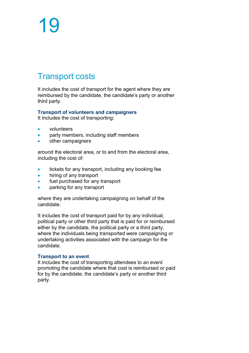### Transport costs

It includes the cost of transport for the agent where they are reimbursed by the candidate, the candidate's party or another third party.

### **Transport of volunteers and campaigners**

It includes the cost of transporting:

- volunteers
- party members, including staff members
- other campaigners

around the electoral area, or to and from the electoral area, including the cost of:

- tickets for any transport, including any booking fee
- hiring of any transport
- fuel purchased for any transport
- parking for any transport

where they are undertaking campaigning on behalf of the candidate.

It includes the cost of transport paid for by any individual, political party or other third party that is paid for or reimbursed either by the candidate, the political party or a third party, where the individuals being transported were campaigning or undertaking activities associated with the campaign for the candidate.

#### **Transport to an event**

It includes the cost of transporting attendees to an event promoting the candidate where that cost is reimbursed or paid for by the candidate, the candidate's party or another third party.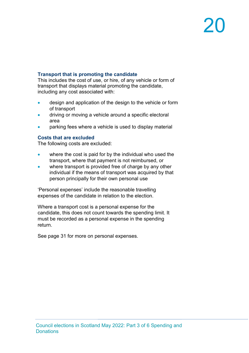### **Transport that is promoting the candidate**

This includes the cost of use, or hire, of any vehicle or form of transport that displays material promoting the candidate, including any cost associated with:

- design and application of the design to the vehicle or form of transport
- driving or moving a vehicle around a specific electoral area
- parking fees where a vehicle is used to display material

### **Costs that are excluded**

The following costs are excluded:

- where the cost is paid for by the individual who used the transport, where that payment is not reimbursed, or
- where transport is provided free of charge by any other individual if the means of transport was acquired by that person principally for their own personal use

'Personal expenses' include the reasonable travelling expenses of the candidate in relation to the election.

Where a transport cost is a personal expense for the candidate, this does not count towards the spending limit. It must be recorded as a personal expense in the spending return.

See page 31 for more on personal expenses.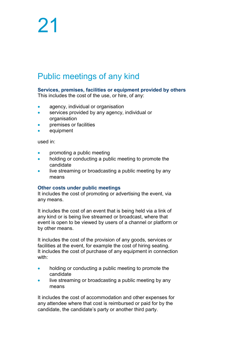### Public meetings of any kind

### **Services, premises, facilities or equipment provided by others**

This includes the cost of the use, or hire, of any:

- agency, individual or organisation
- services provided by any agency, individual or organisation
- premises or facilities
- equipment

used in:

- promoting a public meeting
- holding or conducting a public meeting to promote the candidate
- live streaming or broadcasting a public meeting by any means

#### **Other costs under public meetings**

It includes the cost of promoting or advertising the event, via any means.

It includes the cost of an event that is being held via a link of any kind or is being live streamed or broadcast, where that event is open to be viewed by users of a channel or platform or by other means.

It includes the cost of the provision of any goods, services or facilities at the event, for example the cost of hiring seating. It includes the cost of purchase of any equipment in connection with:

- holding or conducting a public meeting to promote the candidate
- live streaming or broadcasting a public meeting by any means

It includes the cost of accommodation and other expenses for any attendee where that cost is reimbursed or paid for by the candidate, the candidate's party or another third party.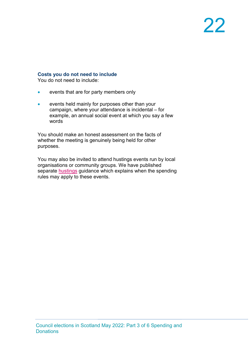#### **Costs you do not need to include**

You do not need to include:

- events that are for party members only
- events held mainly for purposes other than your campaign, where your attendance is incidental – for example, an annual social event at which you say a few words

You should make an honest assessment on the facts of whether the meeting is genuinely being held for other purposes.

You may also be invited to attend hustings events run by local organisations or community groups. We have published separate **hustings** guidance which explains when the spending rules may apply to these events.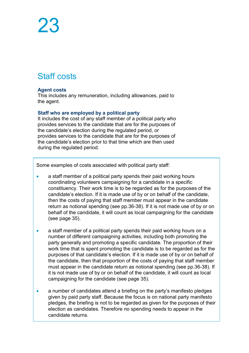### Staff costs

### **Agent costs**

This includes any remuneration, including allowances, paid to the agent.

### **Staff who are employed by a political party**

It includes the cost of any staff member of a political party who provides services to the candidate that are for the purposes of the candidate's election during the regulated period, or provides services to the candidate that are for the purposes of the candidate's election prior to that time which are then used during the regulated period.

Some examples of costs associated with political party staff:

- a staff member of a political party spends their paid working hours coordinating volunteers campaigning for a candidate in a specific constituency. Their work time is to be regarded as for the purposes of the candidate's election. If it is made use of by or on behalf of the candidate, then the costs of paying that staff member must appear in the candidate return as notional spending (see pp.36-38). If it is not made use of by or on behalf of the candidate, it will count as local campaigning for the candidate (see page 35).
- a staff member of a political party spends their paid working hours on a number of different campaigning activities, including both promoting the party generally and promoting a specific candidate. The proportion of their work time that is spent promoting the candidate is to be regarded as for the purposes of that candidate's election. If it is made use of by or on behalf of the candidate, then that proportion of the costs of paying that staff member must appear in the candidate return as notional spending (see pp.36-38). If it is not made use of by or on behalf of the candidate, it will count as local campaigning for the candidate (see page 35).
- a number of candidates attend a briefing on the party's manifesto pledges given by paid party staff. Because the focus is on national party manifesto pledges, the briefing is not to be regarded as given for the purposes of their election as candidates. Therefore no spending needs to appear in the candidate returns.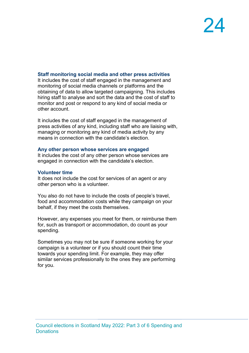### **Staff monitoring social media and other press activities**

It includes the cost of staff engaged in the management and monitoring of social media channels or platforms and the obtaining of data to allow targeted campaigning. This includes hiring staff to analyse and sort the data and the cost of staff to monitor and post or respond to any kind of social media or other account.

It includes the cost of staff engaged in the management of press activities of any kind, including staff who are liaising with, managing or monitoring any kind of media activity by any means in connection with the candidate's election.

#### **Any other person whose services are engaged**

It includes the cost of any other person whose services are engaged in connection with the candidate's election.

#### **Volunteer time**

It does not include the cost for services of an agent or any other person who is a volunteer.

You also do not have to include the costs of people's travel, food and accommodation costs while they campaign on your behalf, if they meet the costs themselves.

However, any expenses you meet for them, or reimburse them for, such as transport or accommodation, do count as your spending.

Sometimes you may not be sure if someone working for your campaign is a volunteer or if you should count their time towards your spending limit. For example, they may offer similar services professionally to the ones they are performing for you.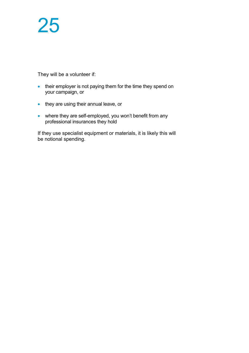They will be a volunteer if:

- their employer is not paying them for the time they spend on your campaign, or
- they are using their annual leave, or
- where they are self-employed, you won't benefit from any professional insurances they hold

If they use specialist equipment or materials, it is likely this will be notional spending.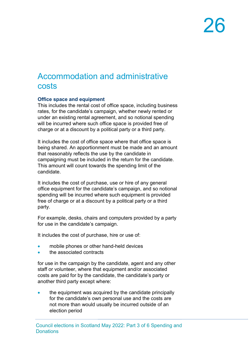### Accommodation and administrative costs

### **Office space and equipment**

This includes the rental cost of office space, including business rates, for the candidate's campaign, whether newly rented or under an existing rental agreement, and so notional spending will be incurred where such office space is provided free of charge or at a discount by a political party or a third party.

It includes the cost of office space where that office space is being shared. An apportionment must be made and an amount that reasonably reflects the use by the candidate in campaigning must be included in the return for the candidate. This amount will count towards the spending limit of the candidate.

It includes the cost of purchase, use or hire of any general office equipment for the candidate's campaign, and so notional spending will be incurred where such equipment is provided free of charge or at a discount by a political party or a third party.

For example, desks, chairs and computers provided by a party for use in the candidate's campaign.

It includes the cost of purchase, hire or use of:

- mobile phones or other hand-held devices
- the associated contracts

for use in the campaign by the candidate, agent and any other staff or volunteer, where that equipment and/or associated costs are paid for by the candidate, the candidate's party or another third party except where:

• the equipment was acquired by the candidate principally for the candidate's own personal use and the costs are not more than would usually be incurred outside of an election period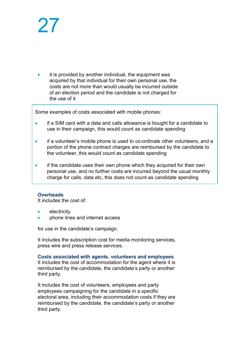it is provided by another individual, the equipment was acquired by that individual for their own personal use, the costs are not more than would usually be incurred outside of an election period and the candidate is not charged for the use of it

Some examples of costs associated with mobile phones:

- if a SIM card with a data and calls allowance is bought for a candidate to use in their campaign, this would count as candidate spending
- if a volunteer's mobile phone is used to co-ordinate other volunteers, and a portion of the phone contract charges are reimbursed by the candidate to the volunteer, this would count as candidate spending
- if the candidate uses their own phone which they acquired for their own personal use, and no further costs are incurred beyond the usual monthly charge for calls, data etc, this does not count as candidate spending

### **Overheads**

It includes the cost of:

- electricity
- phone lines and internet access

for use in the candidate's campaign.

It includes the subscription cost for media monitoring services, press wire and press release services.

**Costs associated with agents, volunteers and employees**

It includes the cost of accommodation for the agent where it is reimbursed by the candidate, the candidate's party or another third party.

It includes the cost of volunteers, employees and party employees campaigning for the candidate in a specific electoral area, including their accommodation costs if they are reimbursed by the candidate, the candidate's party or another third party.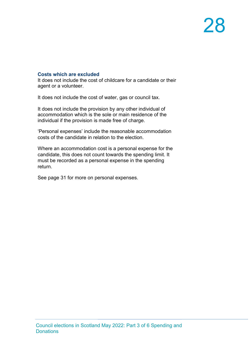### **Costs which are excluded**

It does not include the cost of childcare for a candidate or their agent or a volunteer.

It does not include the cost of water, gas or council tax.

It does not include the provision by any other individual of accommodation which is the sole or main residence of the individual if the provision is made free of charge.

'Personal expenses' include the reasonable accommodation costs of the candidate in relation to the election.

Where an accommodation cost is a personal expense for the candidate, this does not count towards the spending limit. It must be recorded as a personal expense in the spending return.

See page 31 for more on personal expenses.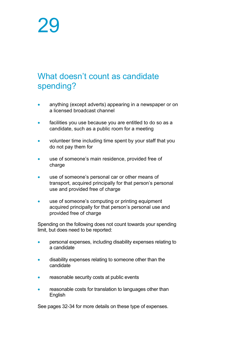### What doesn't count as candidate spending?

- anything (except adverts) appearing in a newspaper or on a licensed broadcast channel
- facilities you use because you are entitled to do so as a candidate, such as a public room for a meeting
- volunteer time including time spent by your staff that you do not pay them for
- use of someone's main residence, provided free of charge
- use of someone's personal car or other means of transport, acquired principally for that person's personal use and provided free of charge
- use of someone's computing or printing equipment acquired principally for that person's personal use and provided free of charge

Spending on the following does not count towards your spending limit, but does need to be reported:

- personal expenses, including disability expenses relating to a candidate
- disability expenses relating to someone other than the candidate
- reasonable security costs at public events
- reasonable costs for translation to languages other than English

See pages 32-34 for more details on these type of expenses.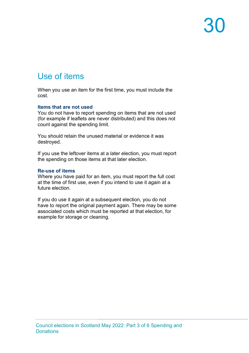### Use of items

When you use an item for the first time, you must include the cost.

#### **Items that are not used**

You do not have to report spending on items that are not used (for example if leaflets are never distributed) and this does not count against the spending limit.

You should retain the unused material or evidence it was destroyed.

If you use the leftover items at a later election, you must report the spending on those items at that later election.

#### **Re-use of items**

Where you have paid for an item, you must report the full cost at the time of first use, even if you intend to use it again at a future election.

If you do use it again at a subsequent election, you do not have to report the original payment again. There may be some associated costs which must be reported at that election, for example for storage or cleaning.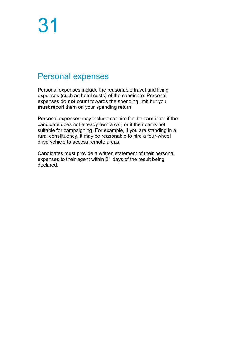### Personal expenses

Personal expenses include the reasonable travel and living expenses (such as hotel costs) of the candidate. Personal expenses do **not** count towards the spending limit but you **must** report them on your spending return.

Personal expenses may include car hire for the candidate if the candidate does not already own a car, or if their car is not suitable for campaigning. For example, if you are standing in a rural constituency, it may be reasonable to hire a four-wheel drive vehicle to access remote areas.

Candidates must provide a written statement of their personal expenses to their agent within 21 days of the result being declared.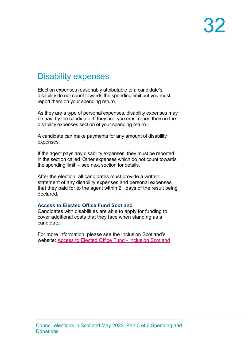### Disability expenses

Election expenses reasonably attributable to a candidate's disability do not count towards the spending limit but you must report them on your spending return.

As they are a type of personal expenses, disability expenses may be paid by the candidate. If they are, you must report them in the disability expenses section of your spending return.

A candidate can make payments for any amount of disability expenses.

If the agent pays any disability expenses, they must be reported in the section called 'Other expenses which do not count towards the spending limit' – see next section for details.

After the election, all candidates must provide a written statement of any disability expenses and personal expenses that they paid for to the agent within 21 days of the result being declared.

#### **Access to Elected Office Fund Scotland**

Candidates with disabilities are able to apply for funding to cover additional costs that they face when standing as a candidate.

For more information, please see the Inclusion Scotland's website: [Access to Elected Office Fund -](https://inclusionscotland.org/disabled-people-become-a-leader/civic-participation/aeo-fund) Inclusion Scotland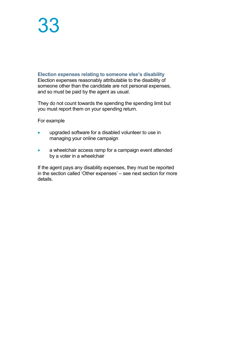### **Election expenses relating to someone else's disability** Election expenses reasonably attributable to the disability of someone other than the candidate are not personal expenses, and so must be paid by the agent as usual.

They do not count towards the spending the spending limit but you must report them on your spending return.

For example

- upgraded software for a disabled volunteer to use in managing your online campaign
- a wheelchair access ramp for a campaign event attended by a voter in a wheelchair

If the agent pays any disability expenses, they must be reported in the section called 'Other expenses' – see next section for more details.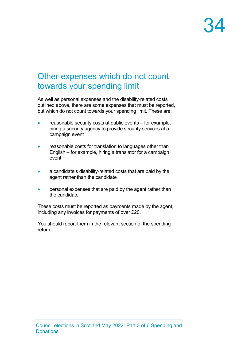### Other expenses which do not count towards your spending limit

As well as personal expenses and the disability-related costs outlined above, there are some expenses that must be reported, but which do not count towards your spending limit. These are:

- reasonable security costs at public events for example, hiring a security agency to provide security services at a campaign event
- reasonable costs for translation to languages other than English – for example, hiring a translator for a campaign event
- a candidate's disability-related costs that are paid by the agent rather than the candidate
- personal expenses that are paid by the agent rather than the candidate

These costs must be reported as payments made by the agent, including any invoices for payments of over £20.

You should report them in the relevant section of the spending return.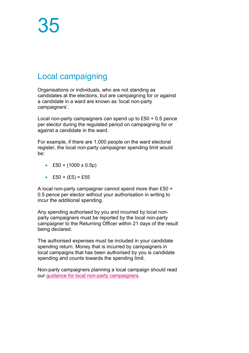### Local campaigning

Organisations or individuals, who are not standing as candidates at the elections, but are campaigning for or against a candidate in a ward are known as 'local non-party campaigners'.

Local non-party campaigners can spend up to £50 + 0.5 pence per elector during the regulated period on campaigning for or against a candidate in the ward.

For example, if there are 1,000 people on the ward electoral register, the local non-party campaigner spending limit would be:

- £50 +  $(1000 \times 0.5p)$
- £50 +  $(E5) = E55$

A local non-party campaigner cannot spend more than £50 + 0.5 pence per elector without your authorisation in writing to incur the additional spending.

Any spending authorised by you and incurred by local nonparty campaigners must be reported by the local non-party campaigner to the Returning Officer within 21 days of the result being declared.

The authorised expenses must be included in your candidate spending return. Money that is incurred by campaigners in local campaigns that has been authorised by you is candidate spending and counts towards the spending limit.

Non-party campaigners planning a local campaign should read our [guidance for local non-party campaigners.](https://www.electoralcommission.org.uk/non-party-campaigners-council-elections-scotland)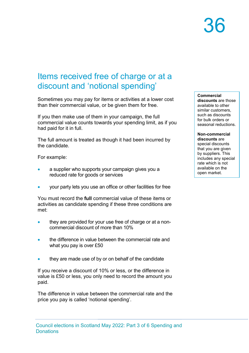### Items received free of charge or at a discount and 'notional spending'

Sometimes you may pay for items or activities at a lower cost than their commercial value, or be given them for free.

If you then make use of them in your campaign, the full commercial value counts towards your spending limit, as if you had paid for it in full.

The full amount is treated as though it had been incurred by the candidate.

For example:

- a supplier who supports your campaign gives you a reduced rate for goods or services
- your party lets you use an office or other facilities for free

You must record the **full** commercial value of these items or activities as candidate spending if these three conditions are met:

- they are provided for your use free of charge or at a noncommercial discount of more than 10%
- the difference in value between the commercial rate and what you pay is over £50
- they are made use of by or on behalf of the candidate

If you receive a discount of 10% or less, or the difference in value is £50 or less, you only need to record the amount you paid.

The difference in value between the commercial rate and the price you pay is called 'notional spending'.

**Commercial discounts** are those available to other similar customers, such as discounts for bulk orders or seasonal reductions.

**Non-commercial discounts** are special discounts that you are given by suppliers. This includes any special rate which is not available on the open market.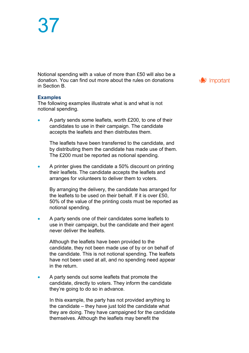Notional spending with a value of more than £50 will also be a donation. You can find out more about the rules on donations in Section B.

#### **Examples**

The following examples illustrate what is and what is not notional spending.

• A party sends some leaflets, worth £200, to one of their candidates to use in their campaign. The candidate accepts the leaflets and then distributes them.

The leaflets have been transferred to the candidate, and by distributing them the candidate has made use of them. The £200 must be reported as notional spending.

• A printer gives the candidate a 50% discount on printing their leaflets. The candidate accepts the leaflets and arranges for volunteers to deliver them to voters.

By arranging the delivery, the candidate has arranged for the leaflets to be used on their behalf. If it is over £50, 50% of the value of the printing costs must be reported as notional spending.

• A party sends one of their candidates some leaflets to use in their campaign, but the candidate and their agent never deliver the leaflets.

Although the leaflets have been provided to the candidate, they not been made use of by or on behalf of the candidate. This is not notional spending. The leaflets have not been used at all, and no spending need appear in the return.

• A party sends out some leaflets that promote the candidate, directly to voters. They inform the candidate they're going to do so in advance.

In this example, the party has not provided anything to the candidate – they have just told the candidate what they are doing. They have campaigned for the candidate themselves. Although the leaflets may benefit the

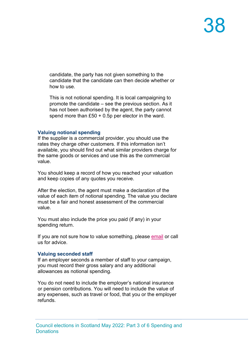candidate, the party has not given something to the candidate that the candidate can then decide whether or how to use.

This is not notional spending. It is local campaigning to promote the candidate – see the previous section. As it has not been authorised by the agent, the party cannot spend more than £50 + 0.5p per elector in the ward.

#### **Valuing notional spending**

If the supplier is a commercial provider, you should use the rates they charge other customers. If this information isn't available, you should find out what similar providers charge for the same goods or services and use this as the commercial value.

You should keep a record of how you reached your valuation and keep copies of any quotes you receive.

After the election, the agent must make a declaration of the value of each item of notional spending. The value you declare must be a fair and honest assessment of the commercial value.

You must also include the price you paid (if any) in your spending return.

If you are not sure how to value something, please [email](mailto:infoscotland@electoralcommission.org.uk) or call us for advice.

#### **Valuing seconded staff**

If an employer seconds a member of staff to your campaign, you must record their gross salary and any additional allowances as notional spending.

You do not need to include the employer's national insurance or pension contributions. You will need to include the value of any expenses, such as travel or food, that you or the employer refunds.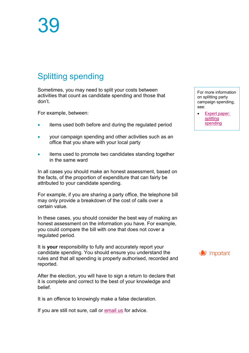### Splitting spending

Sometimes, you may need to split your costs between activities that count as candidate spending and those that don't.

For example, between:

- items used both before and during the regulated period
- your campaign spending and other activities such as an office that you share with your local party
- items used to promote two candidates standing together in the same ward

In all cases you should make an honest assessment, based on the facts, of the proportion of expenditure that can fairly be attributed to your candidate spending.

For example, if you are sharing a party office, the telephone bill may only provide a breakdown of the cost of calls over a certain value.

In these cases, you should consider the best way of making an honest assessment on the information you have. For example, you could compare the bill with one that does not cover a regulated period.

It is **your** responsibility to fully and accurately report your candidate spending. You should ensure you understand the rules and that all spending is properly authorised, recorded and reported.

After the election, you will have to sign a return to declare that it is complete and correct to the best of your knowledge and belief.

It is an offence to knowingly make a false declaration.

If you are still not sure, call or [email us](mailto:infoscotland@electoralcommission.org.uk) for advice.

[For more information](https://www.electoralcommission.org.uk/media/2916)  on splitting party campaign spending, see:

• [Expert paper:](http://www.electoralcommission.org.uk/__data/assets/pdf_file/0008/155564/Expert_Paper_Splitting_campaign_spending.pdf)  [splitting](http://www.electoralcommission.org.uk/__data/assets/pdf_file/0008/155564/Expert_Paper_Splitting_campaign_spending.pdf)  [spending](http://www.electoralcommission.org.uk/__data/assets/pdf_file/0008/155564/Expert_Paper_Splitting_campaign_spending.pdf)

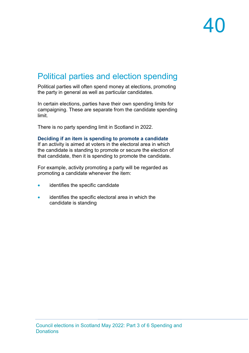### Political parties and election spending

Political parties will often spend money at elections, promoting the party in general as well as particular candidates.

In certain elections, parties have their own spending limits for campaigning. These are separate from the candidate spending limit.

There is no party spending limit in Scotland in 2022.

#### **Deciding if an item is spending to promote a candidate**

If an activity is aimed at voters in the electoral area in which the candidate is standing to promote or secure the election of that candidate, then it is spending to promote the candidate**.**

For example, activity promoting a party will be regarded as promoting a candidate whenever the item:

- identifies the specific candidate
- identifies the specific electoral area in which the candidate is standing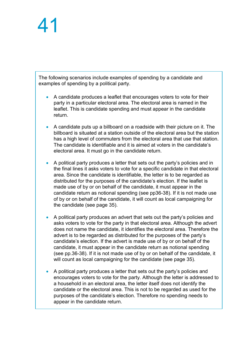The following scenarios include examples of spending by a candidate and examples of spending by a political party.

- A candidate produces a leaflet that encourages voters to vote for their party in a particular electoral area. The electoral area is named in the leaflet. This is candidate spending and must appear in the candidate return.
- A candidate puts up a billboard on a roadside with their picture on it. The billboard is situated at a station outside of the electoral area but the station has a high level of commuters from the electoral area that use that station. The candidate is identifiable and it is aimed at voters in the candidate's electoral area. It must go in the candidate return.
- A political party produces a letter that sets out the party's policies and in the final lines it asks voters to vote for a specific candidate in that electoral area. Since the candidate is identifiable, the letter is to be regarded as distributed for the purposes of the candidate's election. If the leaflet is made use of by or on behalf of the candidate, it must appear in the candidate return as notional spending (see pp36-38). If it is not made use of by or on behalf of the candidate, it will count as local campaigning for the candidate (see page 35).
- A political party produces an advert that sets out the party's policies and asks voters to vote for the party in that electoral area. Although the advert does not name the candidate, it identifies the electoral area. Therefore the advert is to be regarded as distributed for the purposes of the party's candidate's election. If the advert is made use of by or on behalf of the candidate, it must appear in the candidate return as notional spending (see pp.36-38). If it is not made use of by or on behalf of the candidate, it will count as local campaigning for the candidate (see page 35).
- A political party produces a letter that sets out the party's policies and encourages voters to vote for the party. Although the letter is addressed to a household in an electoral area, the letter itself does not identify the candidate or the electoral area. This is not to be regarded as used for the purposes of the candidate's election. Therefore no spending needs to appear in the candidate return.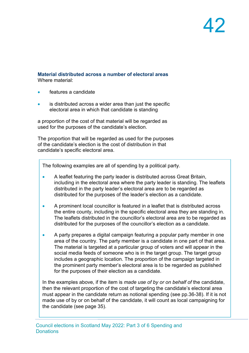#### **Material distributed across a number of electoral areas** Where material:

- features a candidate
- is distributed across a wider area than just the specific electoral area in which that candidate is standing

a proportion of the cost of that material will be regarded as used for the purposes of the candidate's election.

The proportion that will be regarded as used for the purposes of the candidate's election is the cost of distribution in that candidate's specific electoral area.

The following examples are all of spending by a political party.

- A leaflet featuring the party leader is distributed across Great Britain, including in the electoral area where the party leader is standing. The leaflets distributed in the party leader's electoral area are to be regarded as distributed for the purposes of the leader's election as a candidate.
- A prominent local councillor is featured in a leaflet that is distributed across the entire county, including in the specific electoral area they are standing in. The leaflets distributed in the councillor's electoral area are to be regarded as distributed for the purposes of the councillor's election as a candidate.
- A party prepares a digital campaign featuring a popular party member in one area of the country. The party member is a candidate in one part of that area. The material is targeted at a particular group of voters and will appear in the social media feeds of someone who is in the target group. The target group includes a geographic location. The proportion of the campaign targeted in the prominent party member's electoral area is to be regarded as published for the purposes of their election as a candidate.

In the examples above, if the item is *made use of by or on behalf of* the candidate, then the relevant proportion of the cost of targeting the candidate's electoral area must appear in the candidate return as notional spending (see pp.36-38). If it is not made use of by or on behalf of the candidate, it will count as local campaigning for the candidate (see page 35).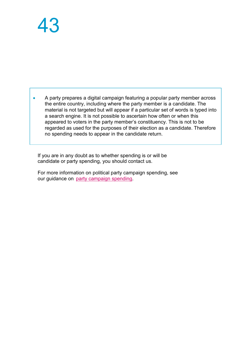• A party prepares a digital campaign featuring a popular party member across the entire country, including where the party member is a candidate. The material is not targeted but will appear if a particular set of words is typed into a search engine. It is not possible to ascertain how often or when this appeared to voters in the party member's constituency. This is not to be regarded as used for the purposes of their election as a candidate. Therefore no spending needs to appear in the candidate return.

If you are in any doubt as to whether spending is or will be candidate or party spending, you should contact us.

For more information on political party campaign spending, see our guidance on [party campaign spending.](https://www.electoralcommission.org.uk/i-am-a/party-or-campaigner/political-parties/election-campaign-spending)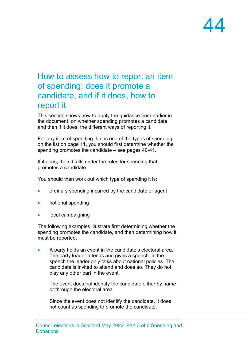#### How to assess how to report an item of spending: does it promote a candidate, and if it does, how to report it

This section shows how to apply the guidance from earlier in the document, on whether spending promotes a candidate, and then if it does, the different ways of reporting it.

For any item of spending that is one of the types of spending on the list on page 11, you should first determine whether the spending promotes the candidate – see pages 40-41.

If it does, then it falls under the rules for spending that promotes a candidate.

You should then work out which type of spending it is:

- ordinary spending incurred by the candidate or agent
- notional spending
- local campaigning

The following examples illustrate first determining whether the spending promotes the candidate, and then determining how it must be reported.

• A party holds an event in the candidate's electoral area. The party leader attends and gives a speech. In the speech the leader only talks about national policies. The candidate is invited to attend and does so. They do not play any other part in the event.

The event does not identify the candidate either by name or through the electoral area.

Since the event does not identify the candidate, it does not count as spending to promote the candidate.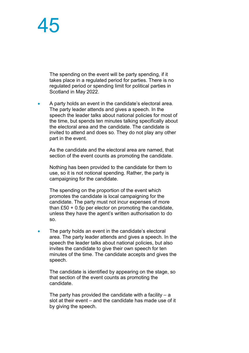The spending on the event will be party spending, if it takes place in a regulated period for parties. There is no regulated period or spending limit for political parties in Scotland in May 2022.

• A party holds an event in the candidate's electoral area. The party leader attends and gives a speech. In the speech the leader talks about national policies for most of the time, but spends ten minutes talking specifically about the electoral area and the candidate. The candidate is invited to attend and does so. They do not play any other part in the event.

As the candidate and the electoral area are named, that section of the event counts as promoting the candidate.

Nothing has been provided to the candidate for them to use, so it is not notional spending. Rather, the party is campaigning for the candidate.

The spending on the proportion of the event which promotes the candidate is local campaigning for the candidate. The party must not incur expenses of more than £50 + 0.5p per elector on promoting the candidate, unless they have the agent's written authorisation to do so.

• The party holds an event in the candidate's electoral area. The party leader attends and gives a speech. In the speech the leader talks about national policies, but also invites the candidate to give their own speech for ten minutes of the time. The candidate accepts and gives the speech.

The candidate is identified by appearing on the stage, so that section of the event counts as promoting the candidate.

The party has provided the candidate with a facility  $- a$ slot at their event – and the candidate has made use of it by giving the speech.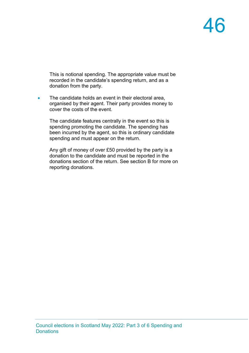This is notional spending. The appropriate value must be recorded in the candidate's spending return, and as a donation from the party.

• The candidate holds an event in their electoral area, organised by their agent. Their party provides money to cover the costs of the event.

The candidate features centrally in the event so this is spending promoting the candidate. The spending has been incurred by the agent, so this is ordinary candidate spending and must appear on the return.

Any gift of money of over £50 provided by the party is a donation to the candidate and must be reported in the donations section of the return. See section B for more on reporting donations.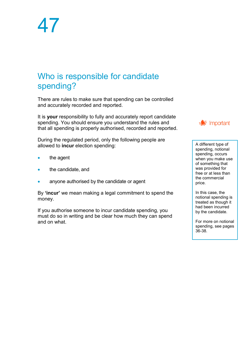### Who is responsible for candidate spending?

There are rules to make sure that spending can be controlled and accurately recorded and reported.

It is **your** responsibility to fully and accurately report candidate spending. You should ensure you understand the rules and that all spending is properly authorised, recorded and reported.

During the regulated period, only the following people are allowed to **incur** election spending:

- the agent
- the candidate, and
- anyone authorised by the candidate or agent

By **'incur'** we mean making a legal commitment to spend the money.

If you authorise someone to incur candidate spending, you must do so in writing and be clear how much they can spend and on what.



A different type of spending, notional spending, occurs when you make use of something that was provided for free or at less than the commercial price.

In this case, the notional spending is treated as though it had been incurred by the candidate.

For more on notional spending, see pages 36-38.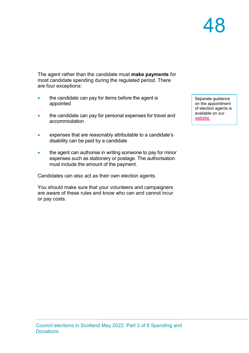The agent rather than the candidate must **make payments** for most candidate spending during the regulated period. There are four exceptions:

- the candidate can pay for items before the agent is appointed
- the candidate can pay for personal expenses for travel and accommodation
- expenses that are reasonably attributable to a candidate's disability can be paid by a candidate
- the agent can authorise in writing someone to pay for minor expenses such as stationery or postage. The authorisation must include the amount of the payment.

Candidates can also act as their own election agents.

You should make sure that your volunteers and campaigners are aware of these rules and know who can and cannot incur or pay costs.

Separate guidance on the appointment of election agents is available on our [website.](https://www.electoralcommission.org.uk/i-am-a/candidate-or-agent/council-elections-scotland)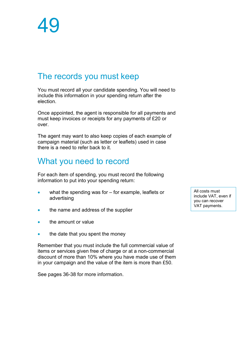### The records you must keep

You must record all your candidate spending. You will need to include this information in your spending return after the election.

Once appointed, the agent is responsible for all payments and must keep invoices or receipts for any payments of £20 or over.

The agent may want to also keep copies of each example of campaign material (such as letter or leaflets) used in case there is a need to refer back to it.

#### What you need to record

For each item of spending, you must record the following information to put into your spending return:

- what the spending was for for example, leaflets or advertising
- the name and address of the supplier
- the amount or value
- the date that you spent the money

Remember that you must include the full commercial value of items or services given free of charge or at a non-commercial discount of more than 10% where you have made use of them in your campaign and the value of the item is more than £50.

See pages 36-38 for more information.

All costs must include VAT, even if you can recover VAT payments.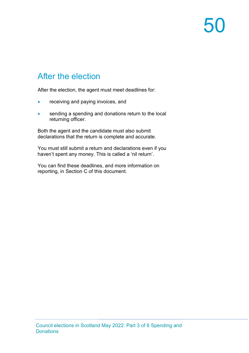### After the election

After the election, the agent must meet deadlines for:

- receiving and paying invoices, and
- sending a spending and donations return to the local returning officer.

Both the agent and the candidate must also submit declarations that the return is complete and accurate.

You must still submit a return and declarations even if you haven't spent any money. This is called a 'nil return'.

You can find these deadlines, and more information on reporting, in Section C of this document.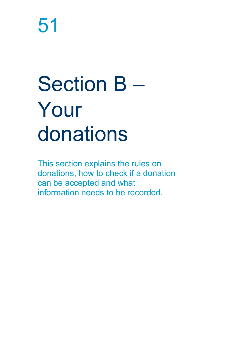# Section B – Your donations

This section explains the rules on donations, how to check if a donation can be accepted and what information needs to be recorded.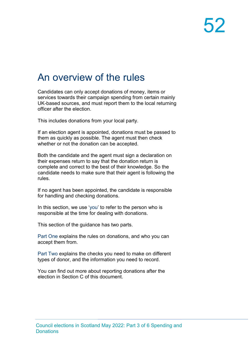### An overview of the rules

Candidates can only accept donations of money, items or services towards their campaign spending from certain mainly UK-based sources, and must report them to the local returning officer after the election.

This includes donations from your local party.

If an election agent is appointed, donations must be passed to them as quickly as possible. The agent must then check whether or not the donation can be accepted.

Both the candidate and the agent must sign a declaration on their expenses return to say that the donation return is complete and correct to the best of their knowledge. So the candidate needs to make sure that their agent is following the rules.

If no agent has been appointed, the candidate is responsible for handling and checking donations.

In this section, we use 'you' to refer to the person who is responsible at the time for dealing with donations.

This section of the guidance has two parts.

Part One explains the rules on donations, and who you can accept them from.

Part Two explains the checks you need to make on different types of donor, and the information you need to record.

You can find out more about reporting donations after the election in Section C of this document.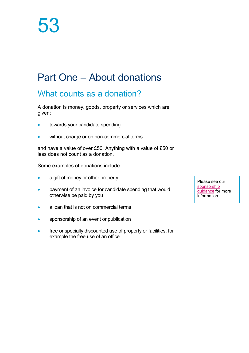### Part One – About donations

### What counts as a donation?

A donation is money, goods, property or services which are given:

- towards your candidate spending
- without charge or on non-commercial terms

and have a value of over £50. Anything with a value of £50 or less does not count as a donation.

Some examples of donations include:

- a gift of money or other property
- payment of an invoice for candidate spending that would otherwise be paid by you
- a loan that is not on commercial terms
- sponsorship of an event or publication
- free or specially discounted use of property or facilities, for example the free use of an office

Please see our [sponsorship](https://www.electoralcommission.org.uk/sponsorship)  [guidance](https://www.electoralcommission.org.uk/sponsorship) for more information.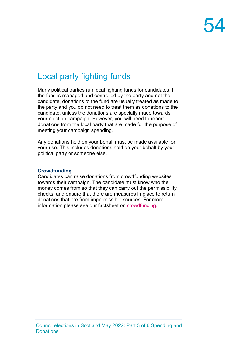### Local party fighting funds

Many political parties run local fighting funds for candidates. If the fund is managed and controlled by the party and not the candidate, donations to the fund are usually treated as made to the party and you do not need to treat them as donations to the candidate, unless the donations are specially made towards your election campaign. However, you will need to report donations from the local party that are made for the purpose of meeting your campaign spending.

Any donations held on your behalf must be made available for your use. This includes donations held on your behalf by your political party or someone else.

#### **Crowdfunding**

Candidates can raise donations from crowdfunding websites towards their campaign. The candidate must know who the money comes from so that they can carry out the permissibility checks, and ensure that there are measures in place to return donations that are from impermissible sources. For more information please see our factsheet on [crowdfunding.](https://www.electoralcommission.org.uk/media/4371)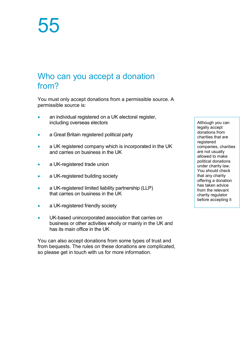### Who can you accept a donation from?

You must only accept donations from a permissible source. A permissible source is:

- an individual registered on a UK electoral register, including overseas electors
- a Great Britain registered political party
- a UK registered company which is incorporated in the UK and carries on business in the UK
- a UK-registered trade union
- a UK-registered building society
- a UK-registered limited liability partnership (LLP) that carries on business in the UK
- a UK-registered friendly society
- UK-based unincorporated association that carries on business or other activities wholly or mainly in the UK and has its main office in the UK

You can also accept donations from some types of trust and from bequests. The rules on these donations are complicated, so please get in touch with us for more information.

Although you can legally accept donations from charities that are registered companies, charities are not usually allowed to make political donations under charity law. You should check that any charity offering a donation has taken advice from the relevant charity regulator before accepting it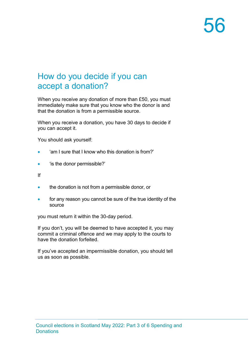### How do you decide if you can accept a donation?

When you receive any donation of more than £50, you must immediately make sure that you know who the donor is and that the donation is from a permissible source.

When you receive a donation, you have 30 days to decide if you can accept it.

You should ask yourself:

- 'am I sure that I know who this donation is from?'
- 'is the donor permissible?'

If

- the donation is not from a permissible donor, or
- for any reason you cannot be sure of the true identity of the source

you must return it within the 30-day period.

If you don't, you will be deemed to have accepted it, you may commit a criminal offence and we may apply to the courts to have the donation forfeited.

If you've accepted an impermissible donation, you should tell us as soon as possible.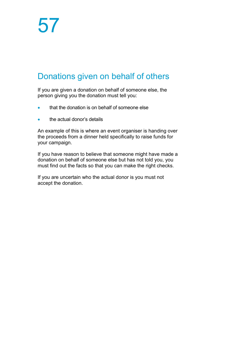### Donations given on behalf of others

If you are given a donation on behalf of someone else, the person giving you the donation must tell you:

- that the donation is on behalf of someone else
- the actual donor's details

An example of this is where an event organiser is handing over the proceeds from a dinner held specifically to raise funds for your campaign.

If you have reason to believe that someone might have made a donation on behalf of someone else but has not told you, you must find out the facts so that you can make the right checks.

If you are uncertain who the actual donor is you must not accept the donation.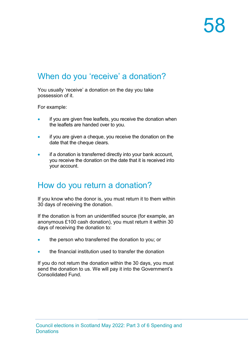### When do you 'receive' a donation?

You usually 'receive' a donation on the day you take possession of it.

For example:

- if you are given free leaflets, you receive the donation when the leaflets are handed over to you.
- if you are given a cheque, you receive the donation on the date that the cheque clears.
- if a donation is transferred directly into your bank account, you receive the donation on the date that it is received into your account.

### How do you return a donation?

If you know who the donor is, you must return it to them within 30 days of receiving the donation.

If the donation is from an unidentified source (for example, an anonymous £100 cash donation), you must return it within 30 days of receiving the donation to:

- the person who transferred the donation to you; or
- the financial institution used to transfer the donation

If you do not return the donation within the 30 days, you must send the donation to us. We will pay it into the Government's Consolidated Fund.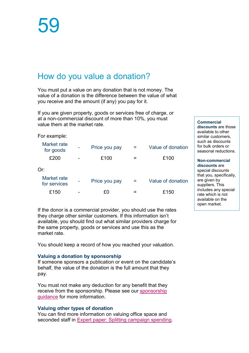### How do you value a donation?

You must put a value on any donation that is not money. The value of a donation is the difference between the value of what you receive and the amount (if any) you pay for it.

If you are given property, goods or services free of charge, or at a non-commercial discount of more than 10%, you must value them at the market rate.

| For example:                |               |   |                   |
|-----------------------------|---------------|---|-------------------|
| Market rate<br>for goods    | Price you pay | = | Value of donation |
| £200                        | £100          |   | £100              |
| Or:                         |               |   |                   |
| Market rate<br>for services | Price you pay |   | Value of donation |
| £150                        | £0            | - | £150              |
|                             |               |   |                   |

If the donor is a commercial provider, you should use the rates they charge other similar customers. If this information isn't available, you should find out what similar providers charge for the same property, goods or services and use this as the market rate.

You should keep a record of how you reached your valuation.

#### **Valuing a donation by sponsorship**

If someone sponsors a publication or event on the candidate's behalf, the value of the donation is the full amount that they pay.

You must not make any deduction for any benefit that they receive from the sponsorship. Please see our [sponsorship](https://www.electoralcommission.org.uk/sponsorship)  [guidance](https://www.electoralcommission.org.uk/sponsorship) for more information.

#### **Valuing other types of donation**

You can find more information on valuing office space and seconded staff in [Expert paper: Splitting](https://www.electoralcommission.org.uk/media/2916) campaign spending.

**Commercial discounts** are those available to other similar customers, such as discounts for bulk orders or seasonal reductions.

**Non-commercial discounts** are special discounts that you, specifically, are given by suppliers. This includes any special rate which is not available on the open market.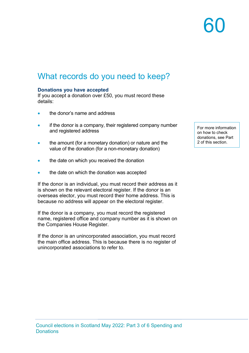### What records do you need to keep?

#### **Donations you have accepted**

If you accept a donation over £50, you must record these details:

- the donor's name and address
- if the donor is a company, their registered company number and registered address
- the amount (for a monetary donation) or nature and the value of the donation (for a non-monetary donation)
- the date on which you received the donation
- the date on which the donation was accepted

If the donor is an individual, you must record their address as it is shown on the relevant electoral register. If the donor is an overseas elector, you must record their home address. This is because no address will appear on the electoral register.

If the donor is a company, you must record the registered name, registered office and company number as it is shown on the Companies House Register.

If the donor is an unincorporated association, you must record the main office address. This is because there is no register of unincorporated associations to refer to.

For more information on how to check donations, see Part 2 of this section.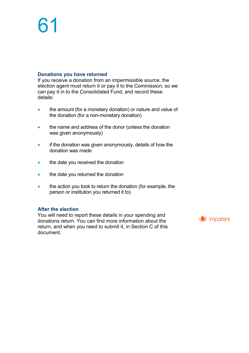#### **Donations you have returned**

If you receive a donation from an impermissible source, the election agent must return it or pay it to the Commission, so we can pay it in to the Consolidated Fund, and record these details:

- the amount (for a monetary donation) or nature and value of the donation (for a non-monetary donation)
- the name and address of the donor (unless the donation was given anonymously)
- if the donation was given anonymously, details of how the donation was made
- the date you received the donation
- the date you returned the donation
- the action you took to return the donation (for example, the person or institution you returned it to)

#### **After the election**

You will need to report these details in your spending and donations return. You can find more information about the return, and when you need to submit it, in Section C of this document.

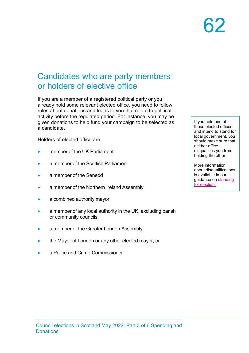#### Candidates who are party members or holders of elective office

If you are a member of a registered political party or you already hold some relevant elected office, you need to follow rules about donations and loans to you that relate to political activity before the regulated period. For instance, you may be given donations to help fund your campaign to be selected as a candidate.

Holders of elected office are:

- member of the UK Parliament
- a member of the Scottish Parliament
- a member of the Senedd
- a member of the Northern Ireland Assembly
- a combined authority mayor
- a member of any local authority in the UK, excluding parish or community councils
- a member of the Greater London Assembly
- the Mayor of London or any other elected mayor, or
- a Police and Crime Commissioner

If you hold one of these elected offices [and intend to stand for](https://www.electoralcommission.org.uk/sites/default/files/2021-11/SLG%20Part%201%20Can%20you%20stand%20for%20election.pdf)  local government, you should make sure that neither office disqualifies you from holding the other.

More information about disqualifications is available in our guidance on [standing](https://www.electoralcommission.org.uk/sites/default/files/2021-11/SLG%20Part%201%20Can%20you%20stand%20for%20election.pdf)  [for election.](https://www.electoralcommission.org.uk/sites/default/files/2021-11/SLG%20Part%201%20Can%20you%20stand%20for%20election.pdf)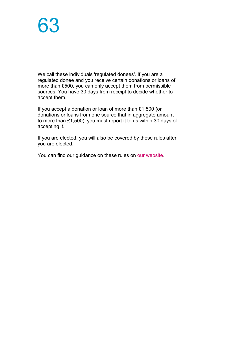We call these individuals 'regulated donees'. If you are a regulated donee and you receive certain donations or loans of more than £500, you can only accept them from permissible sources. You have 30 days from receipt to decide whether to accept them.

If you accept a donation or loan of more than £1,500 (or donations or loans from one source that in aggregate amount to more than £1,500), you must report it to us within 30 days of accepting it.

If you are elected, you will also be covered by these rules after you are elected.

You can find our guidance on these rules on [our website.](https://www.electoralcommission.org.uk/guidance-regulated-individuals)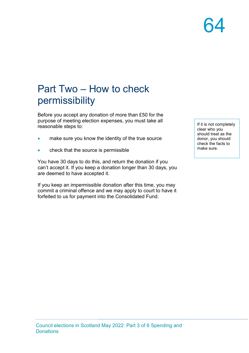### Part Two – How to check permissibility

Before you accept any donation of more than £50 for the purpose of meeting election expenses, you must take all reasonable steps to:

- make sure you know the identity of the true source
- check that the source is permissible

You have 30 days to do this, and return the donation if you can't accept it. If you keep a donation longer than 30 days, you are deemed to have accepted it.

If you keep an impermissible donation after this time, you may commit a criminal offence and we may apply to court to have it forfeited to us for payment into the Consolidated Fund.

If it is not completely clear who you should treat as the donor, you should check the facts to make sure.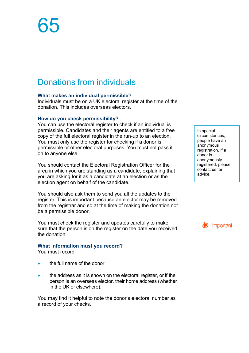### Donations from individuals

#### **What makes an individual permissible?**

Individuals must be on a UK electoral register at the time of the donation. This includes overseas electors.

#### **How do you check permissibility?**

You can use the electoral register to check if an individual is permissible. Candidates and their agents are entitled to a free copy of the full electoral register in the run-up to an election. You must only use the register for checking if a donor is permissible or other electoral purposes. You must not pass it on to anyone else.

You should contact the Electoral Registration Officer for the area in which you are standing as a candidate, explaining that you are asking for it as a candidate at an election or as the election agent on behalf of the candidate.

You should also ask them to send you all the updates to the register. This is important because an elector may be removed from the registrar and so at the time of making the donation not be a permissible donor.

You must check the register and updates carefully to make sure that the person is on the register on the date you received the donation.

#### **What information must you record?**

You must record:

- the full name of the donor
- the address as it is shown on the electoral register, or if the person is an overseas elector, their home address (whether in the UK or elsewhere).

You may find it helpful to note the donor's electoral number as a record of your checks.

In special circumstances, people have an anonymous registration. If a donor is anonymously registered, please contact us for advice.

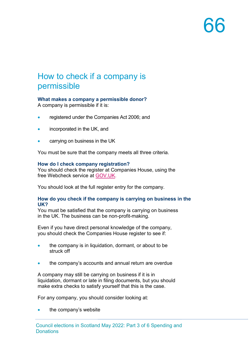### How to check if a company is permissible

#### **What makes a company a permissible donor?**

A company is permissible if it is:

- registered under the Companies Act 2006; and
- incorporated in the UK, and
- carrying on business in the UK

You must be sure that the company meets all three criteria.

#### **How do I check company registration?**

You should check the register at Companies House, using the free Webcheck service at [GOV.UK.](https://www.gov.uk/get-information-about-a-company)

You should look at the full register entry for the company.

#### **How do you check if the company is carrying on business in the UK?**

You must be satisfied that the company is carrying on business in the UK. The business can be non-profit-making.

Even if you have direct personal knowledge of the company, you should check the Companies House register to see if:

- the company is in liquidation, dormant, or about to be struck off
- the company's accounts and annual return are overdue

A company may still be carrying on business if it is in liquidation, dormant or late in filing documents, but you should make extra checks to satisfy yourself that this is the case.

For any company, you should consider looking at:

the company's website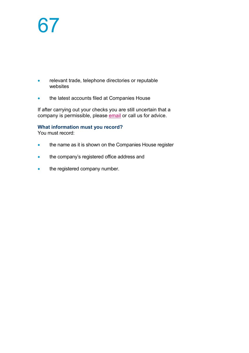- relevant trade, telephone directories or reputable websites
- the latest accounts filed at Companies House

If after carrying out your checks you are still uncertain that a company is permissible, please [email](mailto:infoscotland@electoralcommission.org.uk) or call us for advice.

#### **What information must you record?**

You must record:

- the name as it is shown on the Companies House register
- the company's registered office address and
- the registered company number.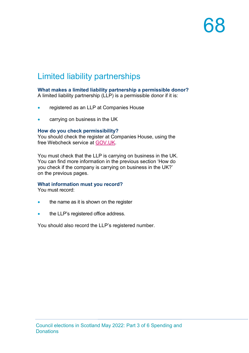### Limited liability partnerships

#### **What makes a limited liability partnership a permissible donor?**

A limited liability partnership (LLP) is a permissible donor if it is:

- registered as an LLP at Companies House
- carrying on business in the UK

#### **How do you check permissibility?**

You should check the register at Companies House, using the free Webcheck service at [GOV.UK.](https://www.gov.uk/get-information-about-a-company)

You must check that the LLP is carrying on business in the UK. You can find more information in the previous section 'How do you check if the company is carrying on business in the UK?' on the previous pages.

#### **What information must you record?**

You must record:

- the name as it is shown on the register
- the LLP's registered office address.

You should also record the LLP's registered number.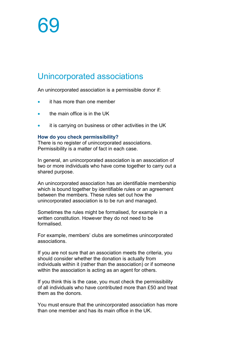#### Unincorporated associations

An unincorporated association is a permissible donor if:

- it has more than one member
- the main office is in the UK
- it is carrying on business or other activities in the UK

#### **How do you check permissibility?**

There is no register of unincorporated associations. Permissibility is a matter of fact in each case.

In general, an unincorporated association is an association of two or more individuals who have come together to carry out a shared purpose.

An unincorporated association has an identifiable membership which is bound together by identifiable rules or an agreement between the members. These rules set out how the unincorporated association is to be run and managed.

Sometimes the rules might be formalised, for example in a written constitution. However they do not need to be formalised.

For example, members' clubs are sometimes unincorporated associations.

If you are not sure that an association meets the criteria, you should consider whether the donation is actually from individuals within it (rather than the association) or if someone within the association is acting as an agent for others.

If you think this is the case, you must check the permissibility of all individuals who have contributed more than £50 and treat them as the donors.

You must ensure that the unincorporated association has more than one member and has its main office in the UK.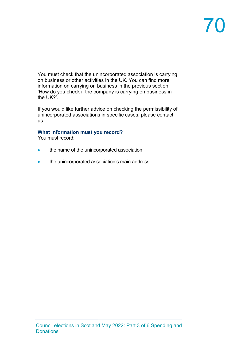# 70

You must check that the unincorporated association is carrying on business or other activities in the UK. You can find more information on carrying on business in the previous section 'How do you check if the company is carrying on business in the UK?'.

If you would like further advice on checking the permissibility of unincorporated associations in specific cases, please contact us.

#### **What information must you record?**

You must record:

- the name of the unincorporated association
- the unincorporated association's main address.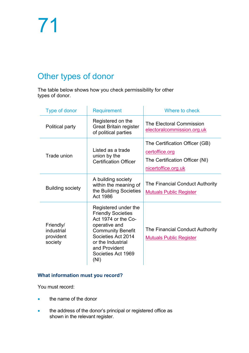### Other types of donor

The table below shows how you check permissibility for other types of donor.

| Type of donor                                   | <b>Requirement</b>                                                                                                                                                                                              | Where to check                                                                                            |  |
|-------------------------------------------------|-----------------------------------------------------------------------------------------------------------------------------------------------------------------------------------------------------------------|-----------------------------------------------------------------------------------------------------------|--|
| Political party                                 | Registered on the<br><b>Great Britain register</b><br>of political parties                                                                                                                                      | The Electoral Commission<br>electoralcommission.org.uk                                                    |  |
| Trade union                                     | Listed as a trade<br>union by the<br><b>Certification Officer</b>                                                                                                                                               | The Certification Officer (GB)<br>certoffice.org<br>The Certification Officer (NI)<br>nicertoffice.org.uk |  |
| <b>Building society</b>                         | A building society<br>within the meaning of<br>the Building Societies<br>Act 1986                                                                                                                               | The Financial Conduct Authority<br><b>Mutuals Public Register</b>                                         |  |
| Friendly/<br>industrial<br>provident<br>society | Registered under the<br><b>Friendly Societies</b><br>Act 1974 or the Co-<br>operative and<br><b>Community Benefit</b><br>Societies Act 2014<br>or the Industrial<br>and Provident<br>Societies Act 1969<br>(NI) | The Financial Conduct Authority<br><b>Mutuals Public Register</b>                                         |  |

### **What information must you record?**

You must record:

- the name of the donor
- the address of the donor's principal or registered office as shown in the relevant register.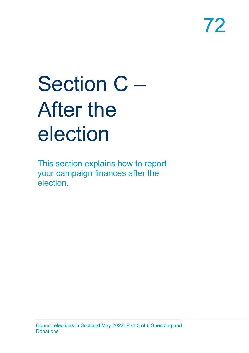# Section C – After the election

This section explains how to report your campaign finances after the election.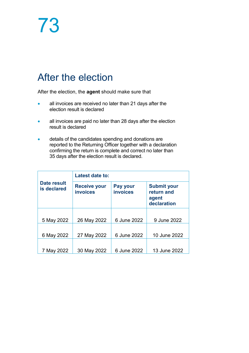## After the election

After the election, the **agent** should make sure that

- all invoices are received no later than 21 days after the election result is declared
- all invoices are paid no later than 28 days after the election result is declared
- details of the candidates spending and donations are reported to the Returning Officer together with a declaration confirming the return is complete and correct no later than 35 days after the election result is declared.

| Date result<br>is declared | Latest date to:                        |                             |                                                          |  |
|----------------------------|----------------------------------------|-----------------------------|----------------------------------------------------------|--|
|                            | <b>Receive your</b><br><b>invoices</b> | Pay your<br><b>invoices</b> | <b>Submit your</b><br>return and<br>agent<br>declaration |  |
|                            |                                        |                             |                                                          |  |
| 5 May 2022                 | 26 May 2022                            | 6 June 2022                 | 9 June 2022                                              |  |
|                            |                                        |                             |                                                          |  |
| 6 May 2022                 | 27 May 2022                            | 6 June 2022                 | 10 June 2022                                             |  |
|                            |                                        |                             |                                                          |  |
| 7 May 2022                 | 30 May 2022                            | 6 June 2022                 | 13 June 2022                                             |  |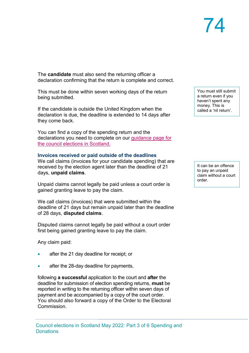## 74

The **candidate** must also send the returning officer a declaration confirming that the return is complete and correct.

This must be done within seven working days of the return being submitted.

If the candidate is outside the United Kingdom when the declaration is due, the deadline is extended to 14 days after they come back.

You can find a copy of the spending return and the declarations you need to complete on our [guidance page for](https://www.electoralcommission.org.uk/i-am-a/candidate-or-agent/council-elections-scotland)  [the council elections in Scotland.](https://www.electoralcommission.org.uk/i-am-a/candidate-or-agent/council-elections-scotland)

#### **Invoices received or paid outside of the deadlines**

We call claims (invoices for your candidate spending) that are received by the election agent later than the deadline of 21 days, **unpaid claims**.

Unpaid claims cannot legally be paid unless a court order is gained granting leave to pay the claim.

We call claims (invoices) that were submitted within the deadline of 21 days but remain unpaid later than the deadline of 28 days, **disputed claims**.

Disputed claims cannot legally be paid without a court order first being gained granting leave to pay the claim.

Any claim paid:

- after the 21 day deadline for receipt; or
- after the 28-day deadline for payments,

following **a successful** application to the court and **after** the deadline for submission of election spending returns, **must** be reported in writing to the returning officer within seven days of payment and be accompanied by a copy of the court order. You should also forward a copy of the Order to the Electoral **Commission** 

You must still submit a return even if you haven't spent any money. This is called a 'nil return'.

It can be an offence to pay an unpaid claim without a court order.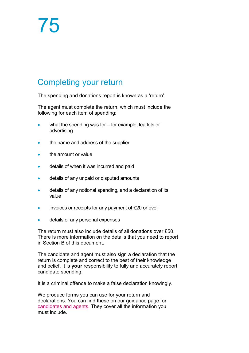### Completing your return

The spending and donations report is known as a 'return'.

The agent must complete the return, which must include the following for each item of spending:

- what the spending was for for example, leaflets or advertising
- the name and address of the supplier
- the amount or value
- details of when it was incurred and paid
- details of any unpaid or disputed amounts
- details of any notional spending, and a declaration of its value
- invoices or receipts for any payment of £20 or over
- details of any personal expenses

The return must also include details of all donations over £50. There is more information on the details that you need to report in Section B of this document.

The candidate and agent must also sign a declaration that the return is complete and correct to the best of their knowledge and belief. It is **your** responsibility to fully and accurately report candidate spending.

It is a criminal offence to make a false declaration knowingly.

We produce forms you can use for your return and declarations. You can find these on our guidance page for [candidates and agents.](https://www.electoralcommission.org.uk/i-am-a/candidate-or-agent/council-elections-scotland) They cover all the information you must include.